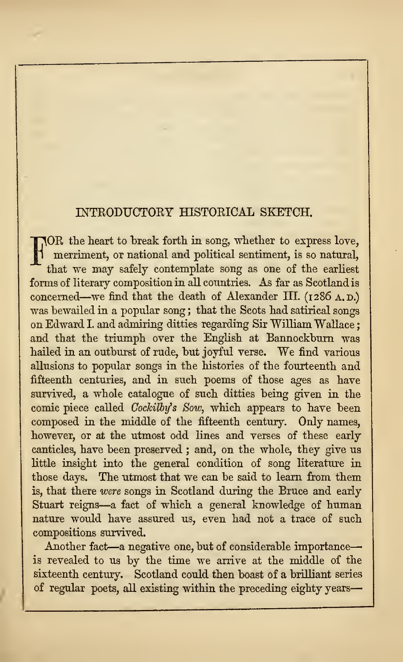# INTRODUCTORY HISTORICAL SKETCH.

FOR the heart to break forth in song, whether to express love, merriment, or national and political sentiment, is so natural, that we may safely contemplate song as one of the earliest forms of literary composition in all countries. As far as Scotland is concerned—we find that the death of Alexander III. (1286 A.D.) was bewailed in a popular song; that the Scots had satirical songs on Edward I. and admiring ditties regarding Sir William Wallace; and that the triumph over the English at Bannockburn was hailed in an outburst of rude, but joyful verse. We find various allusions to popular songs in the histories of the fourteenth and fifteenth centuries, and in such poems of those ages as have survived, a whole catalogue of such ditties being given in the comic piece called Cockilby's Sow, which appears to have been composed in the middle of the fifteenth century. Only names, however, or at the utmost odd lines and verses of these early canticles, have been preserved ; and, on the whole, they give us little insight into the general condition of song literature in those days. The utmost that we can be said to learn from them is, that there were songs in Scotland during the Bruce and early Stuart reigns—<sup>a</sup> fact of which <sup>a</sup> general knowledge of human nature would have assured us, even had not a trace of such compositions survived.

Another fact—<sup>a</sup> negative one, but of considerable importance is revealed to us by the time we arrive at the middle of the sixteenth century. Scotland could then boast of a brilliant series of regular poets, all existing within the preceding eighty years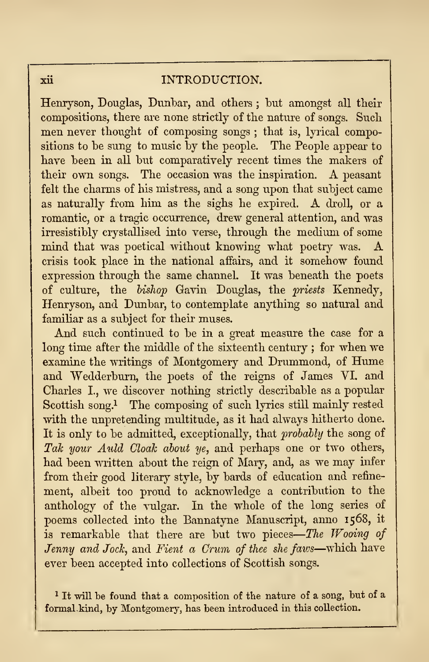### xii INTRODUCTION.

Henryson, Douglas, Dunbar, and others ; but amongst all their compositions, there are none strictly of the nature of songs. Such men never thought of composing songs ; that is, lyrical compositions to be sung to music by the people. The People appear to have been in all but comparatively recent times the makers of their own songs. The occasion was the inspiration. A peasant felt the charms of his mistress, and a song upon that subject came as naturally from him as the sighs he expired. A droll, or <sup>a</sup> romantic, or a tragic occurrence, drew general attention, and was irresistibly crystallised into verse, through the medium of some mind that was poetical without knowing what poetry was. A crisis took place in the national affairs, and it somehow found expression through the same channel. It was beneath the poets of culture, the bishop Gavin Douglas, the priests Kennedy, Henryson, and Dunbar, to contemplate anything so natural and familiar as a subject for their muses.

And such continued to be in a great measure the case for a long time after the middle of the sixteenth century ; for when we examine the writings of Montgomery and Drummond, of Hume and Wedderburn, the poets of the reigns of James VI. and Charles L, we discover nothing strictly describable as a popular Scottish song.<sup>1</sup> The composing of such lyrics still mainly rested with the unpretending multitude, as it had always hitherto done. It is only to be admitted, exceptionally, that probably the song of Tak your Auld Cloak about ye, and perhaps one or two others, had been written about the reign of Mary, and, as we may infer from their good literary style, by bards of education and refine ment, albeit too proud to acknowledge a contribution to the anthology of the vulgar. In the whole of the long series of poems collected into the Bannatyne Manuscript, anno 1568, it is remarkable that there are but two pieces—The Wooing of  $\vert$ Jenny and Jock, and Fient a Crum of thee she faws—which have ever been accepted into collections of Scottish songs.

<sup>1</sup> It will be found that a composition of the nature of a song, hut of a formal kind, by Montgomery, has been introduced in this collection.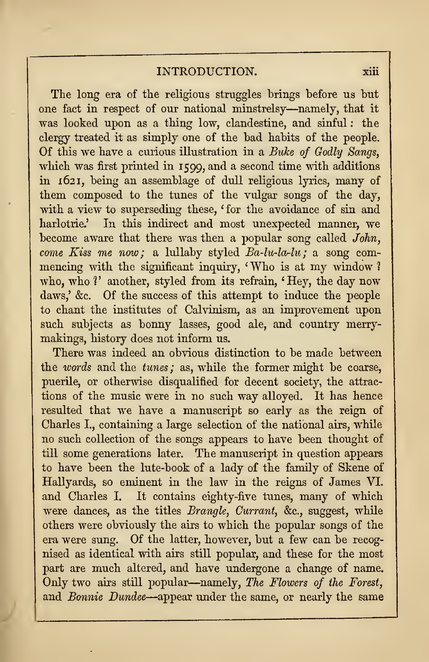# INTRODUCTION. xiii

The long era of the religious struggles brings before us but one fact in respect of our national minstrelsy—namely, that it was looked upon as a thing low, clandestine, and sinful : the clergy treated it as simply one of the bad habits of the people. Of this we have a curious illustration in a Buke of Godly Sangs, which was first printed in 1599, and a second time with additions in 1621, being an assemblage of dull religious lyrics, many of them composed to the tunes of the vulgar songs of the day, with a view to superseding these, ' for the avoidance of sin and harlotrie.' In this indirect and most unexpected manner, we become aware that there was then a popular song called John, come Kiss me now; a lullaby styled  $Ba-lu-la-lu$ ; a song commencing with the significant inquiry, ' Who is at my window ? who, who <sup>1</sup> ' another, styled from its refrain, ' Hey, the day now daws,' &c. Of the success of this attempt to induce the people to chant the institutes of Calvinism, as an improvement upon such subjects as bonny lasses, good ale, and country merrymakings, history does not inform us.

There was indeed an obvious distinction to be made between the words and the tunes ; as, while the former might be coarse, puerile, or otherwise disqualified for decent society, the attrac tions of the music were in no such way alloyed. It has hence resulted that we have a manuscript so early as the reign of Charles I., containing a large selection of the national airs, while no such collection of the songs appears to have been thought of till some generations later. The manuscript in question appears to have been the lute-book of a lady of the family of Skene of Hallyards, so eminent in the law in the reigns of James VI. and Charles I. It contains eighty-five tunes, many of which were dances, as the titles Brangle, Currant, &c, suggest, while others were obviously the airs to which the popular songs of the era were sung. Of the latter, however, but a few can be recog nised as identical with airs still popular, and these for the most part are much altered, and have undergone a change of name. Only two airs still popular—namely, The Flowers of the Forest, and Bonnie Dundee—appear under the same, or nearly the same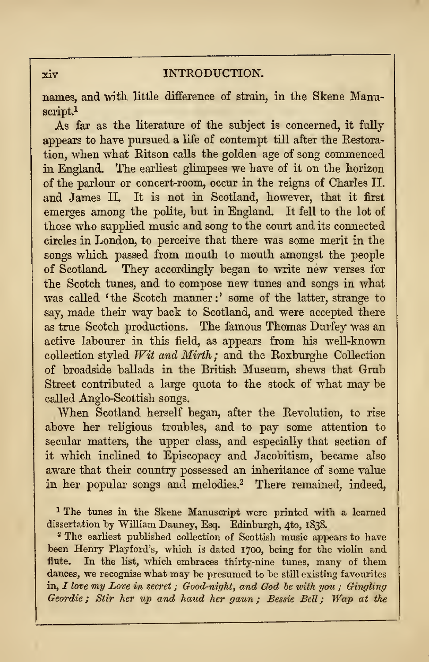#### $\overline{x}$ iv INTRODUCTION.

names, and with little difference of strain, in the Skene Manuscript.<sup>1</sup>

As far as the literature of the subject is concerned, it fully appears to have pursued a life of contempt till after the Restoration, when what Ritson calls the golden age of song commenced in England. The earliest glimpses we have of it on the horizon of the parlour or concert-room, occur in the reigns of Charles II. and James II. It is not in Scotland, however, that it first emerges among the polite, but in England. It fell to the lot of those who supplied music and song to the court and its connected circles in London, to perceive that there was some merit in the songs which passed from mouth to mouth amongst the people of Scotland. They accordingly began to write new verses for the Scotch tunes, and to compose new tunes and songs in what was called 'the Scotch manner:' some of the latter, strange to say, made their way back to Scotland, and were accepted there as true Scotch productions. The famous Thomas Durfey was an active labourer in this field, as appears from his well-known collection styled Wit and Mirth ; and the Roxburghe Collection of broadside ballads in the British Museum, shews that Grub Street contributed a large quota to the stock of what may be called Anglo-Scottish songs.

When Scotland herself began, after the Revolution, to rise above her religious troubles, and to pay some attention to secular matters, the upper class, and especially that section of it which inclined to Episcopacy and Jacobitism, became also aware that their country possessed an inheritance of some value in her popular songs and melodies.<sup>2</sup> There remained, indeed,

<sup>1</sup> The tunes in the Skene Manuscript were printed with a learned dissertation by William Dauney, Esq. Edinburgh, 4to, 1838.

<sup>2</sup> The earliest published collection of Scottish music appears to have been Henry Playford's, which is dated 1700, being for the violin and flute. In the list, which embraces thirty-nine tunes, many of them dances, we recognise what may be presumed to be still existing favourites in,  $I$  love my Love in secret; Good-night, and God be with you; Gingling Geordie ; Stir her up and haud her gaun ; Bessie Bell ; Wap at the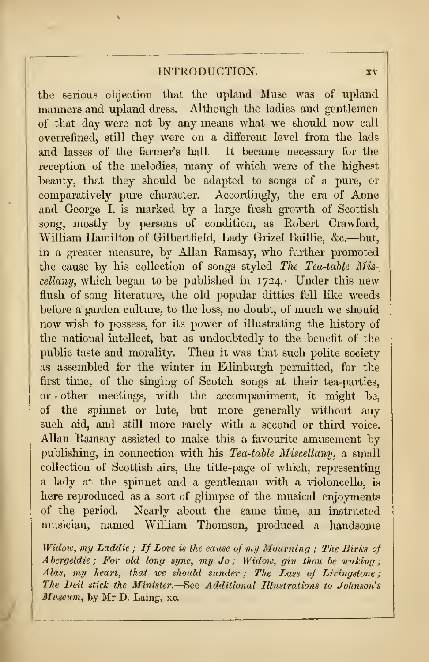## INTRODUCTION. xv

the serious objection that the upland Muse was of upland manners and upland dress. Although the ladies and gentlemen of that day were not by any means what we should now call ovcrrefmed, still they were on a different level from the lads and lasses of the farmer's hall. It became necessary for the reception of the melodies, many of which were of the highest beauty, that they should be adapted to songs of a pure, or comparatively pure character. Accordingly, the era of Anne and George I. is marked by a large fresh growth of Scottish song, mostly by persons of condition, as Robert Crawford, William Hamilton of Gilbertfield, Lady Grizel Baillie, &c.—but, in a greater measure, by Allan Ramsay, who further promoted the cause by his collection of songs styled The Tea-table Mis $cellanu$ , which began to be published in  $1724$ . Under this new flush of song literature, the old popular ditties fell like weeds before a garden culture, to the loss, no doubt, of much we should now wish to possess, for its power of illustrating the history of the national intellect, but as undoubtedly to the benefit of the public taste and morality. Then itwas that such polite society as assembled for the winter in Edinburgh permitted, for the first time, of the singing of Scotch songs at their tea-parties, or other meetings, with the accompaniment, it might be, of the spinnet or lute, but more generally without any such aid, and still more rarely with a second or third voice. Allan Ramsay assisted to make this a favourite amusement by publishing, in connection with his Tea-table Miscellany, a small collection of Scottish airs, the title-page of which, representing a lady at the spinnet and a gentleman with a violoncello, is here reproduced as a sort of glimpse of the musical enjoyments of the period. Nearly about the same time, an instructed musician, named William Thomson, produced a handsome

Widow, my Laddie ; If Love is the cause of my Mourning ; The Birks of  $A$  bergeldie ; For old long syne, my Jo ; Widow, gin thou be waking ; Alas, my heart, that we should sunder; The Lass of Livingstone: The Deil stick the Minister. —See Additional Illustrations to Johnson's Museum, by Mr D. Laing, xc.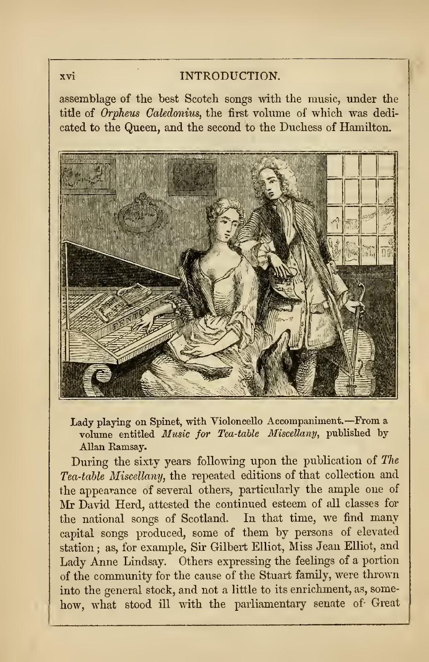#### xvi INTRODUCTION.

assemblage of the best Scotch songs with the music, under the title of Orpheus Caledonius, the first volume of which was dedi cated to the Queen, and the second to the Duchess of Hamilton.



Lady playing on Spinet, with Violoncello Accompaniment. —From <sup>a</sup> volume entitled Music for Tea-table Miscellany, published by Allan Ramsay.

During the sixty years following upon the publication of The Tea-table Miscellany, the repeated editions of that collection and the appearance of several others, particularly the ample one of Mr David Herd, attested the continued esteem of all classes for the national songs of Scotland. In that time, we find many capital songs produced, some of them by persons of elevated station ; as, for example, Sir Gilbert Elliot, Miss Jean Elliot, and Lady Anne Lindsay. Others expressing the feelings of a portion of the community for the cause of the Stuart family, were thrown into the general stock, and not a little to its enrichment, as, some how, what stood ill with the parliamentary senate of- Great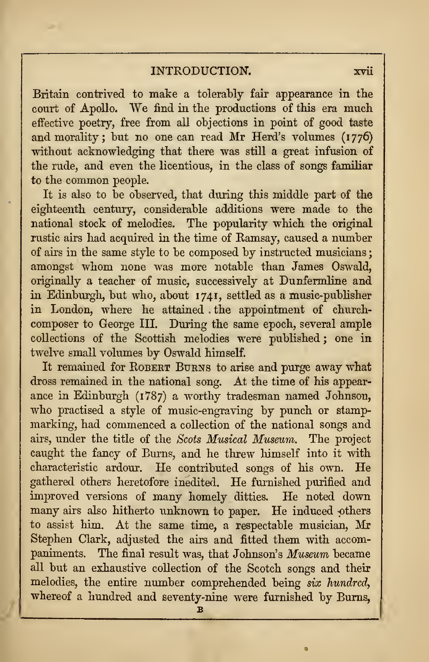## INTRODUCTION. xvii

Britain contrived to make a tolerably fair appearance in the court of Apollo. We find in the productions of this era much effective poetry, free from all objections in point of good taste and morality; but no one can read Mr Herd's volumes (1776) without acknowledging that there was still a great infusion of the rude, and even the licentious, in the class of songs familiar to the common people.

It is also to be observed, that during this middle part of the eighteenth century, considerable additions were made to the national stock of melodies. The popularity which the original rustic airs had acquired in the time of Eamsay, caused a number of airs in the same style to be composed by instructed musicians amongst whom none was more notable than James Oswald, originally a teacher of music, successively at Dunfermline and in Edinburgh, but who, about 1741, settled as a music-publisher in London, where he attained . the appointment of church composer to George III. During the same epoch, several ample collections of the Scottish melodies were published ; one in twelve small volumes by Oswald himself.

It remained for ROBERT BURNS to arise and purge away what dross remained in the national song. At the time of his appear ance in Edinburgh (1787) a worthy tradesman named Johnson, who practised a style of music-engraving by punch or stamp marking, had commenced a collection of the national songs and airs, under the title of the Scots Musical Museum. The project caught the fancy of Burns, and he threw himself into it with characteristic ardour. He contributed songs of his own. He gathered others heretofore inedited. He furnished purified and improved versions of many homely ditties. He noted down many airs also hitherto unknown to paper. He induced others to assist him. At the same time, a respectable musician, Mr Stephen Clark, adjusted the airs and fitted them with accompaniments. The final result was, that Johnson's Museum became all but an exhaustive collection of the Scotch songs and their melodies, the entire number comprehended being six hundred, whereof a hundred and seventy-nine were furnished by Burns,